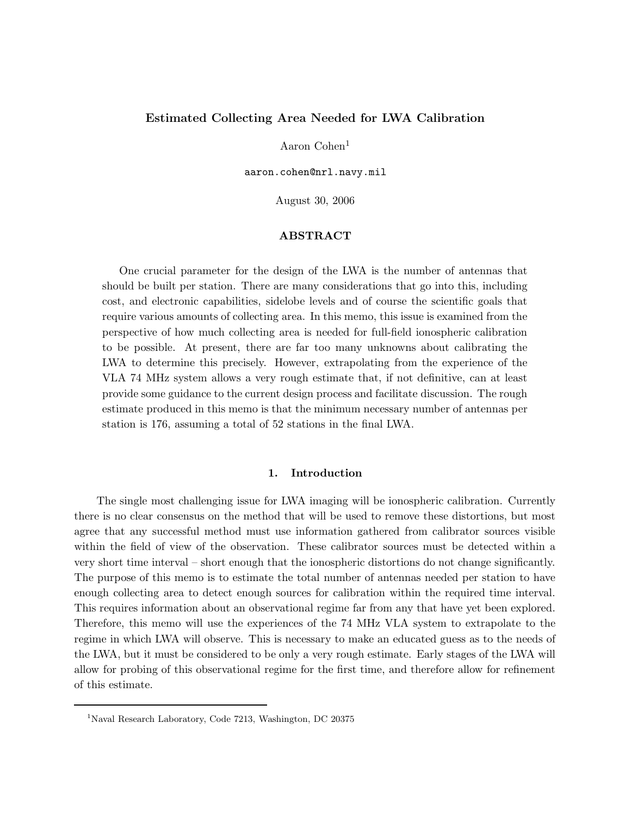# Estimated Collecting Area Needed for LWA Calibration

Aaron Cohen<sup>1</sup>

aaron.cohen@nrl.navy.mil

August 30, 2006

## ABSTRACT

One crucial parameter for the design of the LWA is the number of antennas that should be built per station. There are many considerations that go into this, including cost, and electronic capabilities, sidelobe levels and of course the scientific goals that require various amounts of collecting area. In this memo, this issue is examined from the perspective of how much collecting area is needed for full-field ionospheric calibration to be possible. At present, there are far too many unknowns about calibrating the LWA to determine this precisely. However, extrapolating from the experience of the VLA 74 MHz system allows a very rough estimate that, if not definitive, can at least provide some guidance to the current design process and facilitate discussion. The rough estimate produced in this memo is that the minimum necessary number of antennas per station is 176, assuming a total of 52 stations in the final LWA.

## 1. Introduction

The single most challenging issue for LWA imaging will be ionospheric calibration. Currently there is no clear consensus on the method that will be used to remove these distortions, but most agree that any successful method must use information gathered from calibrator sources visible within the field of view of the observation. These calibrator sources must be detected within a very short time interval – short enough that the ionospheric distortions do not change significantly. The purpose of this memo is to estimate the total number of antennas needed per station to have enough collecting area to detect enough sources for calibration within the required time interval. This requires information about an observational regime far from any that have yet been explored. Therefore, this memo will use the experiences of the 74 MHz VLA system to extrapolate to the regime in which LWA will observe. This is necessary to make an educated guess as to the needs of the LWA, but it must be considered to be only a very rough estimate. Early stages of the LWA will allow for probing of this observational regime for the first time, and therefore allow for refinement of this estimate.

<sup>&</sup>lt;sup>1</sup>Naval Research Laboratory, Code 7213, Washington, DC 20375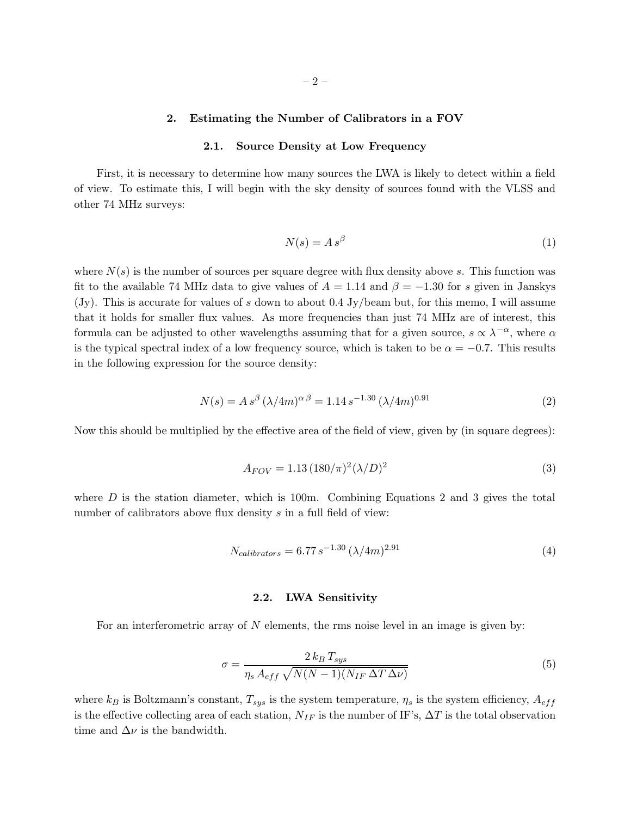# 2. Estimating the Number of Calibrators in a FOV

#### 2.1. Source Density at Low Frequency

First, it is necessary to determine how many sources the LWA is likely to detect within a field of view. To estimate this, I will begin with the sky density of sources found with the VLSS and other 74 MHz surveys:

$$
N(s) = A s^{\beta} \tag{1}
$$

where  $N(s)$  is the number of sources per square degree with flux density above s. This function was fit to the available 74 MHz data to give values of  $A = 1.14$  and  $\beta = -1.30$  for s given in Janskys (Jy). This is accurate for values of s down to about 0.4 Jy/beam but, for this memo, I will assume that it holds for smaller flux values. As more frequencies than just 74 MHz are of interest, this formula can be adjusted to other wavelengths assuming that for a given source,  $s \propto \lambda^{-\alpha}$ , where  $\alpha$ is the typical spectral index of a low frequency source, which is taken to be  $\alpha = -0.7$ . This results in the following expression for the source density:

$$
N(s) = A s^{\beta} (\lambda / 4m)^{\alpha \beta} = 1.14 s^{-1.30} (\lambda / 4m)^{0.91}
$$
 (2)

Now this should be multiplied by the effective area of the field of view, given by (in square degrees):

$$
A_{FOV} = 1.13 \, (180/\pi)^2 (\lambda/D)^2 \tag{3}
$$

where  $D$  is the station diameter, which is 100m. Combining Equations 2 and 3 gives the total number of calibrators above flux density s in a full field of view:

$$
N_{calibrators} = 6.77 s^{-1.30} \left(\frac{\lambda}{4m}\right)^{2.91} \tag{4}
$$

# 2.2. LWA Sensitivity

For an interferometric array of  $N$  elements, the rms noise level in an image is given by:

$$
\sigma = \frac{2 k_B T_{sys}}{\eta_s A_{eff} \sqrt{N(N-1)(N_{IF} \Delta T \Delta \nu)}}\tag{5}
$$

where  $k_B$  is Boltzmann's constant,  $T_{sys}$  is the system temperature,  $\eta_s$  is the system efficiency,  $A_{eff}$ is the effective collecting area of each station,  $N_{IF}$  is the number of IF's,  $\Delta T$  is the total observation time and  $\Delta \nu$  is the bandwidth.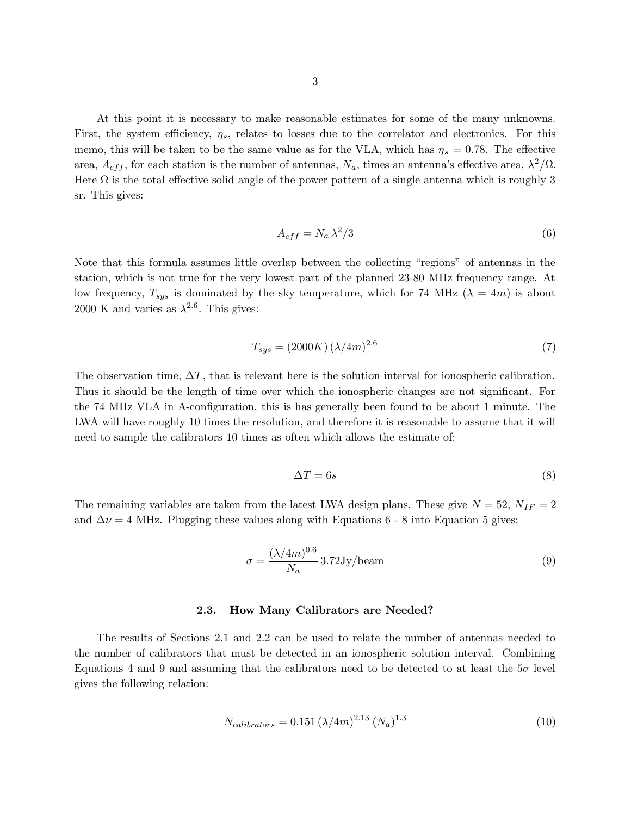At this point it is necessary to make reasonable estimates for some of the many unknowns. First, the system efficiency,  $\eta_s$ , relates to losses due to the correlator and electronics. For this memo, this will be taken to be the same value as for the VLA, which has  $\eta_s = 0.78$ . The effective area,  $A_{eff}$ , for each station is the number of antennas,  $N_a$ , times an antenna's effective area,  $\lambda^2/\Omega$ . Here  $\Omega$  is the total effective solid angle of the power pattern of a single antenna which is roughly 3 sr. This gives:

$$
A_{eff} = N_a \lambda^2 / 3 \tag{6}
$$

Note that this formula assumes little overlap between the collecting "regions" of antennas in the station, which is not true for the very lowest part of the planned 23-80 MHz frequency range. At low frequency,  $T_{sys}$  is dominated by the sky temperature, which for 74 MHz ( $\lambda = 4m$ ) is about 2000 K and varies as  $\lambda^{2.6}$ . This gives:

$$
T_{sys} = (2000K)(\lambda/4m)^{2.6}
$$
 (7)

The observation time,  $\Delta T$ , that is relevant here is the solution interval for ionospheric calibration. Thus it should be the length of time over which the ionospheric changes are not significant. For the 74 MHz VLA in A-configuration, this is has generally been found to be about 1 minute. The LWA will have roughly 10 times the resolution, and therefore it is reasonable to assume that it will need to sample the calibrators 10 times as often which allows the estimate of:

$$
\Delta T = 6s \tag{8}
$$

The remaining variables are taken from the latest LWA design plans. These give  $N = 52$ ,  $N_{IF} = 2$ and  $\Delta \nu = 4$  MHz. Plugging these values along with Equations 6 - 8 into Equation 5 gives:

$$
\sigma = \frac{(\lambda/4m)^{0.6}}{N_a} 3.72 \text{Jy/beam}
$$
\n(9)

#### 2.3. How Many Calibrators are Needed?

The results of Sections 2.1 and 2.2 can be used to relate the number of antennas needed to the number of calibrators that must be detected in an ionospheric solution interval. Combining Equations 4 and 9 and assuming that the calibrators need to be detected to at least the  $5\sigma$  level gives the following relation:

$$
N_{calibrators} = 0.151 \, (\lambda/4m)^{2.13} \, (N_a)^{1.3} \tag{10}
$$